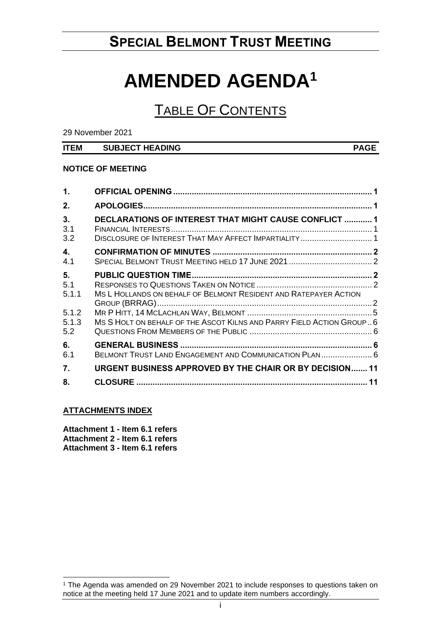# **SPECIAL BELMONT TRUST MEETING**

# **AMENDED AGENDA<sup>1</sup>**

## TABLE OF CONTENTS

29 November 2021

#### **ITEM SUBJECT HEADING PAGE**

#### **NOTICE OF MEETING**

| $\mathbf 1$ .         |                                                                                                                       |  |
|-----------------------|-----------------------------------------------------------------------------------------------------------------------|--|
| 2.                    |                                                                                                                       |  |
| 3.<br>3.1<br>3.2      | <b>DECLARATIONS OF INTEREST THAT MIGHT CAUSE CONFLICT  1</b><br>DISCLOSURE OF INTEREST THAT MAY AFFECT IMPARTIALITY 1 |  |
| 4.<br>4.1             |                                                                                                                       |  |
| 5.<br>5.1<br>5.1.1    | MS L HOLLANDS ON BEHALF OF BELMONT RESIDENT AND RATEPAYER ACTION                                                      |  |
| 5.1.2<br>5.1.3<br>5.2 | MS SHOLT ON BEHALF OF THE ASCOT KILNS AND PARRY FIELD ACTION GROUP6                                                   |  |
| 6.<br>6.1             | BELMONT TRUST LAND ENGAGEMENT AND COMMUNICATION PLAN 6                                                                |  |
| 7.                    | <b>URGENT BUSINESS APPROVED BY THE CHAIR OR BY DECISION 11</b>                                                        |  |
| 8.                    |                                                                                                                       |  |

#### **ATTACHMENTS INDEX**

**Attachment 1 - Item 6.1 refers Attachment 2 - Item 6.1 refers Attachment 3 - Item 6.1 refers** 

<sup>1</sup> The Agenda was amended on 29 November 2021 to include responses to questions taken on notice at the meeting held 17 June 2021 and to update item numbers accordingly.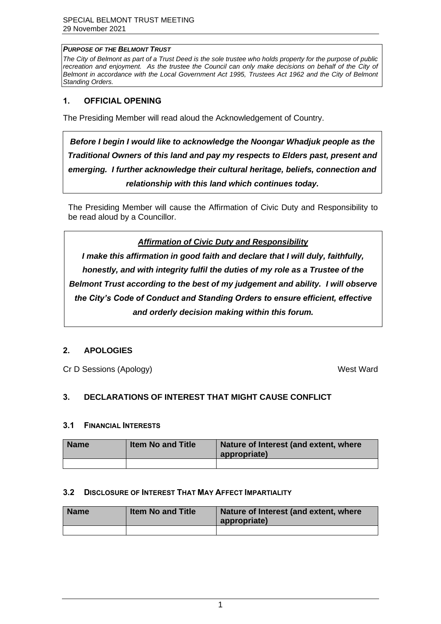#### *PURPOSE OF THE BELMONT TRUST*

*The City of Belmont as part of a Trust Deed is the sole trustee who holds property for the purpose of public*  recreation and enjoyment. As the trustee the Council can only make decisions on behalf of the City of *Belmont in accordance with the Local Government Act 1995, Trustees Act 1962 and the City of Belmont Standing Orders.*

#### <span id="page-1-0"></span>**1. OFFICIAL OPENING**

The Presiding Member will read aloud the Acknowledgement of Country.

*Before I begin I would like to acknowledge the Noongar Whadjuk people as the Traditional Owners of this land and pay my respects to Elders past, present and emerging. I further acknowledge their cultural heritage, beliefs, connection and relationship with this land which continues today.* 

<span id="page-1-1"></span>The Presiding Member will cause the Affirmation of Civic Duty and Responsibility to be read aloud by a Councillor.

*Affirmation of Civic Duty and Responsibility*

<span id="page-1-3"></span><span id="page-1-2"></span>*I make this affirmation in good faith and declare that I will duly, faithfully, honestly, and with integrity fulfil the duties of my role as a Trustee of the Belmont Trust according to the best of my judgement and ability. I will observe the City's Code of Conduct and Standing Orders to ensure efficient, effective and orderly decision making within this forum.*

### <span id="page-1-4"></span>**2. APOLOGIES**

Cr D Sessions (Apology) West Ward

### **3. DECLARATIONS OF INTEREST THAT MIGHT CAUSE CONFLICT**

#### <span id="page-1-5"></span>**3.1 FINANCIAL INTERESTS**

<span id="page-1-6"></span>

| <b>Name</b> | <b>Item No and Title</b> | Nature of Interest (and extent, where<br>appropriate) |
|-------------|--------------------------|-------------------------------------------------------|
|             |                          |                                                       |

#### **3.2 DISCLOSURE OF INTEREST THAT MAY AFFECT IMPARTIALITY**

| <b>Name</b> | <b>Item No and Title</b> | Nature of Interest (and extent, where<br>appropriate) |
|-------------|--------------------------|-------------------------------------------------------|
|             |                          |                                                       |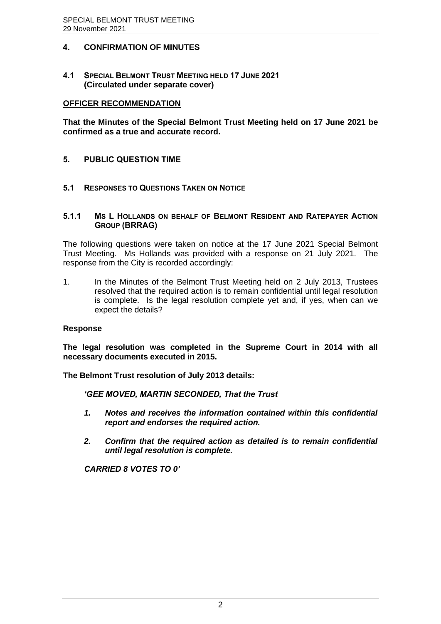### <span id="page-2-0"></span>**4. CONFIRMATION OF MINUTES**

<span id="page-2-1"></span>**4.1 SPECIAL BELMONT TRUST MEETING HELD 17 JUNE 2021 (Circulated under separate cover)**

#### <span id="page-2-2"></span>**OFFICER RECOMMENDATION**

**That the Minutes of the Special Belmont Trust Meeting held on 17 June 2021 be confirmed as a true and accurate record.**

#### **5. PUBLIC QUESTION TIME**

#### **5.1 RESPONSES TO QUESTIONS TAKEN ON NOTICE**

#### **5.1.1 MS L HOLLANDS ON BEHALF OF BELMONT RESIDENT AND RATEPAYER ACTION GROUP (BRRAG)**

The following questions were taken on notice at the 17 June 2021 Special Belmont Trust Meeting. Ms Hollands was provided with a response on 21 July 2021. The response from the City is recorded accordingly:

1. In the Minutes of the Belmont Trust Meeting held on 2 July 2013, Trustees resolved that the required action is to remain confidential until legal resolution is complete. Is the legal resolution complete yet and, if yes, when can we expect the details?

#### **Response**

**The legal resolution was completed in the Supreme Court in 2014 with all necessary documents executed in 2015.**

**The Belmont Trust resolution of July 2013 details:**

*'GEE MOVED, MARTIN SECONDED, That the Trust* 

- *1. Notes and receives the information contained within this confidential report and endorses the required action.*
- *2. Confirm that the required action as detailed is to remain confidential until legal resolution is complete.*

*CARRIED 8 VOTES TO 0'*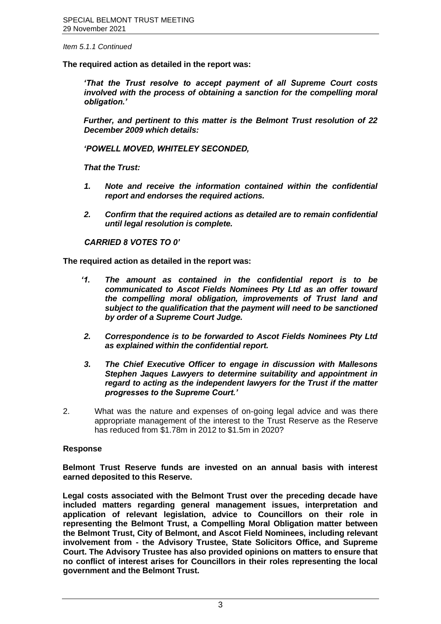*Item 5.1.1 Continued*

**The required action as detailed in the report was:** 

*'That the Trust resolve to accept payment of all Supreme Court costs involved with the process of obtaining a sanction for the compelling moral obligation.'*

*Further, and pertinent to this matter is the Belmont Trust resolution of 22 December 2009 which details:*

*'POWELL MOVED, WHITELEY SECONDED,*

*That the Trust:*

- *1. Note and receive the information contained within the confidential report and endorses the required actions.*
- *2. Confirm that the required actions as detailed are to remain confidential until legal resolution is complete.*

*CARRIED 8 VOTES TO 0'*

**The required action as detailed in the report was:**

- *'1. The amount as contained in the confidential report is to be communicated to Ascot Fields Nominees Pty Ltd as an offer toward the compelling moral obligation, improvements of Trust land and subject to the qualification that the payment will need to be sanctioned by order of a Supreme Court Judge.*
- *2. Correspondence is to be forwarded to Ascot Fields Nominees Pty Ltd as explained within the confidential report.*
- *3. The Chief Executive Officer to engage in discussion with Mallesons Stephen Jaques Lawyers to determine suitability and appointment in regard to acting as the independent lawyers for the Trust if the matter progresses to the Supreme Court.'*
- 2. What was the nature and expenses of on-going legal advice and was there appropriate management of the interest to the Trust Reserve as the Reserve has reduced from \$1.78m in 2012 to \$1.5m in 2020?

#### **Response**

**Belmont Trust Reserve funds are invested on an annual basis with interest earned deposited to this Reserve.** 

**Legal costs associated with the Belmont Trust over the preceding decade have included matters regarding general management issues, interpretation and application of relevant legislation, advice to Councillors on their role in representing the Belmont Trust, a Compelling Moral Obligation matter between the Belmont Trust, City of Belmont, and Ascot Field Nominees, including relevant involvement from - the Advisory Trustee, State Solicitors Office, and Supreme Court. The Advisory Trustee has also provided opinions on matters to ensure that no conflict of interest arises for Councillors in their roles representing the local government and the Belmont Trust.**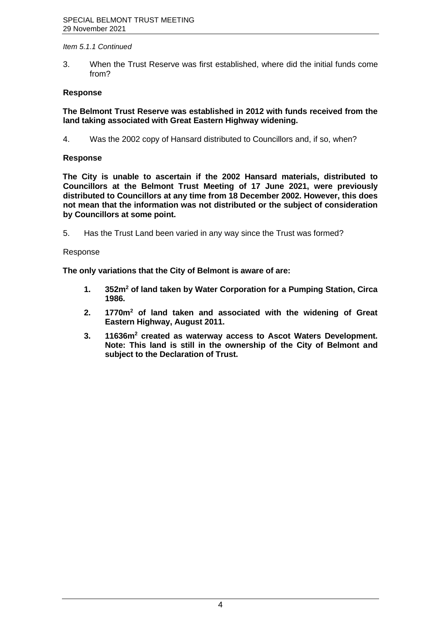#### *Item 5.1.1 Continued*

3. When the Trust Reserve was first established, where did the initial funds come from?

#### **Response**

**The Belmont Trust Reserve was established in 2012 with funds received from the land taking associated with Great Eastern Highway widening.**

4. Was the 2002 copy of Hansard distributed to Councillors and, if so, when?

#### **Response**

**The City is unable to ascertain if the 2002 Hansard materials, distributed to Councillors at the Belmont Trust Meeting of 17 June 2021, were previously distributed to Councillors at any time from 18 December 2002. However, this does not mean that the information was not distributed or the subject of consideration by Councillors at some point.**

<span id="page-4-0"></span>5. Has the Trust Land been varied in any way since the Trust was formed?

#### Response

**The only variations that the City of Belmont is aware of are:**

- **1. 352m<sup>2</sup> of land taken by Water Corporation for a Pumping Station, Circa 1986.**
- **2. 1770m<sup>2</sup> of land taken and associated with the widening of Great Eastern Highway, August 2011.**
- **3. 11636m<sup>2</sup> created as waterway access to Ascot Waters Development. Note: This land is still in the ownership of the City of Belmont and subject to the Declaration of Trust.**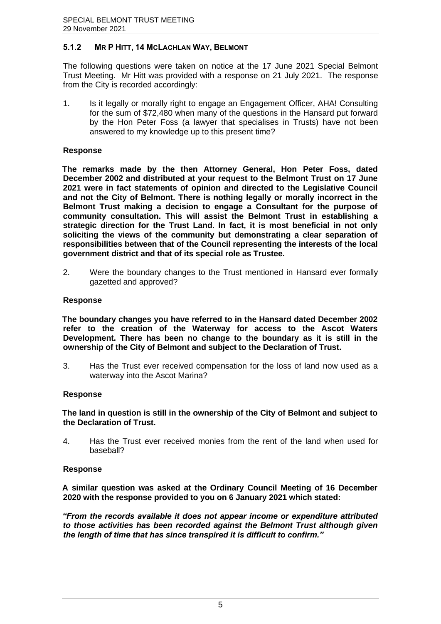#### **5.1.2 MR P HITT, 14 MCLACHLAN WAY, BELMONT**

The following questions were taken on notice at the 17 June 2021 Special Belmont Trust Meeting. Mr Hitt was provided with a response on 21 July 2021. The response from the City is recorded accordingly:

1. Is it legally or morally right to engage an Engagement Officer, AHA! Consulting for the sum of \$72,480 when many of the questions in the Hansard put forward by the Hon Peter Foss (a lawyer that specialises in Trusts) have not been answered to my knowledge up to this present time?

#### **Response**

**The remarks made by the then Attorney General, Hon Peter Foss, dated December 2002 and distributed at your request to the Belmont Trust on 17 June 2021 were in fact statements of opinion and directed to the Legislative Council and not the City of Belmont. There is nothing legally or morally incorrect in the Belmont Trust making a decision to engage a Consultant for the purpose of community consultation. This will assist the Belmont Trust in establishing a strategic direction for the Trust Land. In fact, it is most beneficial in not only soliciting the views of the community but demonstrating a clear separation of responsibilities between that of the Council representing the interests of the local government district and that of its special role as Trustee.**

<span id="page-5-0"></span>2. Were the boundary changes to the Trust mentioned in Hansard ever formally gazetted and approved?

#### **Response**

**The boundary changes you have referred to in the Hansard dated December 2002 refer to the creation of the Waterway for access to the Ascot Waters Development. There has been no change to the boundary as it is still in the ownership of the City of Belmont and subject to the Declaration of Trust.**

3. Has the Trust ever received compensation for the loss of land now used as a waterway into the Ascot Marina?

#### **Response**

#### **The land in question is still in the ownership of the City of Belmont and subject to the Declaration of Trust.**

<span id="page-5-1"></span>4. Has the Trust ever received monies from the rent of the land when used for baseball?

#### **Response**

**A similar question was asked at the Ordinary Council Meeting of 16 December 2020 with the response provided to you on 6 January 2021 which stated:**

*"From the records available it does not appear income or expenditure attributed to those activities has been recorded against the Belmont Trust although given the length of time that has since transpired it is difficult to confirm."*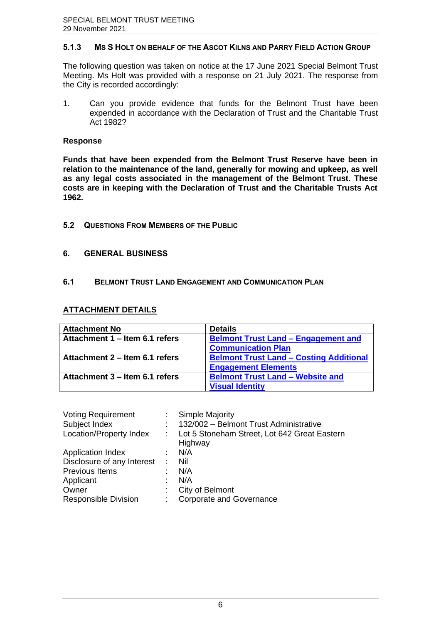#### <span id="page-6-0"></span>**5.1.3 MS S HOLT ON BEHALF OF THE ASCOT KILNS AND PARRY FIELD ACTION GROUP**

<span id="page-6-1"></span>The following question was taken on notice at the 17 June 2021 Special Belmont Trust Meeting. Ms Holt was provided with a response on 21 July 2021. The response from the City is recorded accordingly:

1. Can you provide evidence that funds for the Belmont Trust have been expended in accordance with the Declaration of Trust and the Charitable Trust Act 1982?

#### **Response**

**Funds that have been expended fro[m the Belmont Trust Reserve have been i](https://www.belmont.wa.gov.au/docs/ecm/Belmont%20Trust%2029%20November%202021%20Attachment%202)n relation to the maintenance of the lan[d, generally for mowing and upkeep, as we](https://www.belmont.wa.gov.au/docs/ecm/Belmont%20Trust%2029%20November%202021%20Attachment%203)ll as any legal costs associated in th[e management o](https://www.belmont.wa.gov.au/docs/ecm/Belmont%20Trust%2029%20November%202021%20Attachment%203)f the Belmont Trust. These costs are in keeping with the Declaration of Trust and the Charitable Trusts Act 1962.**

#### **5.2 QUESTIONS FROM MEMBERS OF THE PUBLIC**

#### **6. GENERAL BUSINESS**

#### **6.1 BELMONT TRUST LAND ENGAGEMENT AND COMMUNICATION PLAN**

#### **ATTACHMENT DETAILS**

| <b>Attachment No</b>           | <b>Details</b>                                 |
|--------------------------------|------------------------------------------------|
| Attachment 1 – Item 6.1 refers | <b>Belmont Trust Land - Engagement and</b>     |
|                                | <b>Communication Plan</b>                      |
| Attachment 2 – Item 6.1 refers | <b>Belmont Trust Land - Costing Additional</b> |
|                                | <b>Engagement Elements</b>                     |
| Attachment 3 – Item 6.1 refers | <b>Belmont Trust Land - Website and</b>        |
|                                | <b>Visual Identity</b>                         |

| <b>Voting Requirement</b>   | <b>Simple Majority</b>                                  |
|-----------------------------|---------------------------------------------------------|
| Subject Index               | 132/002 - Belmont Trust Administrative                  |
| Location/Property Index     | Lot 5 Stoneham Street, Lot 642 Great Eastern<br>Highway |
| <b>Application Index</b>    | N/A                                                     |
| Disclosure of any Interest  | Nil                                                     |
| Previous Items              | N/A                                                     |
| Applicant                   | N/A                                                     |
| Owner                       | City of Belmont                                         |
| <b>Responsible Division</b> | <b>Corporate and Governance</b>                         |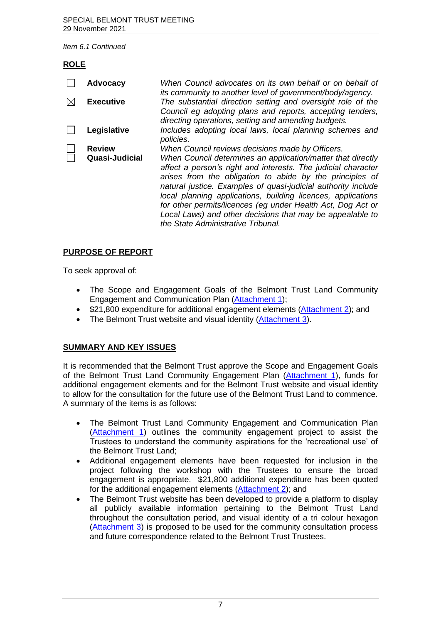#### **ROLE**

|     | <b>Advocacy</b>                 | When Council advocates on its own behalf or on behalf of<br>its community to another level of government/body/agency.                                                                                                                                                                                                                                                                                                                                                                                                                           |
|-----|---------------------------------|-------------------------------------------------------------------------------------------------------------------------------------------------------------------------------------------------------------------------------------------------------------------------------------------------------------------------------------------------------------------------------------------------------------------------------------------------------------------------------------------------------------------------------------------------|
| IХI | <b>Executive</b>                | The substantial direction setting and oversight role of the<br>Council eg adopting plans and reports, accepting tenders,<br>directing operations, setting and amending budgets.                                                                                                                                                                                                                                                                                                                                                                 |
|     | Legislative                     | Includes adopting local laws, local planning schemes and<br>policies.                                                                                                                                                                                                                                                                                                                                                                                                                                                                           |
|     | <b>Review</b><br>Quasi-Judicial | When Council reviews decisions made by Officers.<br>When Council determines an application/matter that directly<br>affect a person's right and interests. The judicial character<br>arises from the obligation to abide by the principles of<br>natural justice. Examples of quasi-judicial authority include<br>local planning applications, building licences, applications<br>for other permits/licences (eg under Health Act, Dog Act or<br>Local Laws) and other decisions that may be appealable to<br>the State Administrative Tribunal. |

### **PURP[OSE OF REPOR](https://www.belmont.wa.gov.au/docs/ecm/Belmont%20Trust%2029%20November%202021%20Attachment%201)T**

To seek approval of:

- The Scope and Engagement Goals of the Belmont Trust Land Community Engagement and Communication Plan ([Attachment 1\);](https://www.belmont.wa.gov.au/docs/ecm/Belmont%20Trust%2029%20November%202021%20Attachment%202)
- \$21,800 expenditure for additional engagement elements (Attachment 2); and
- The Belmont Trust website and visual identity (Attachment 3).

### **SUMM[ARY AND KEY](https://www.belmont.wa.gov.au/docs/ecm/Belmont%20Trust%2029%20November%202021%20Attachment%203) ISSUES**

It is recommended that the Belmont Trust approve the Scope and Engagement Goals of the Belmont Trust Land Community Engagement Plan (Attachment 1), funds for additional engagement elements and for the Belmont Trust website and visual identity to allow for the consultation for the future use of the Belmont Trust Land to commence. A summary of the items is as follows:

- The Belmont Trust Land Community Engagement and Communication Plan (Attachment 1) outlines the community engagement project to assist the Trustees to understand the community aspirations for the 'recreational use' of the Belmont Trust Land;
- Additional engagement elements have been requested for inclusion in the project following the workshop with the Trustees to ensure the broad engagement is appropriate. \$21,800 additional expenditure has been quoted for the additional engagement elements (Attachment 2); and
- The Belmont Trust website has been developed to provide a platform to display all publicly available information pertaining to the Belmont Trust Land throughout the consultation period, and visual identity of a tri colour hexagon (Attachment 3) is proposed to be used for the community consultation process and future correspondence related to the Belmont Trust Trustees.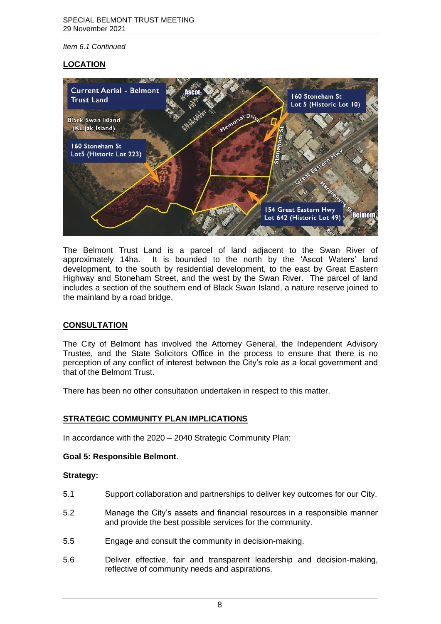#### **LOCATION**



The Belmont Trust Land is a parcel of land adjacent to the Swan River of approximately 14ha. It is bounded to the north by the 'Ascot Waters' land development, to the south by residential development, to the east by Great Eastern Highway and Stoneham Street, and the west by the Swan River. The parcel of land includes a section of the southern end of Black Swan Island, a nature reserve joined to the mainland by a road bridge.

#### **CONSULTATION**

The City of Belmont has involved the Attorney General, the Independent Advisory Trustee, and the State Solicitors Office in the process to ensure that there is no perception of any conflict of interest between the City's role as a local government and that of the Belmont Trust.

There has been no other consultation undertaken in respect to this matter.

#### **STRATEGIC COMMUNITY PLAN IMPLICATIONS**

In accordance with the 2020 – 2040 Strategic Community Plan:

#### **Goal 5: Responsible Belmont**.

#### **Strategy:**

- 5.1 Support collaboration and partnerships to deliver key outcomes for our City.
- 5.2 Manage the City's assets and financial resources in a responsible manner and provide the best possible services for the community.
- 5.5 Engage and consult the community in decision-making.
- 5.6 Deliver effective, fair and transparent leadership and decision-making, reflective of community needs and aspirations.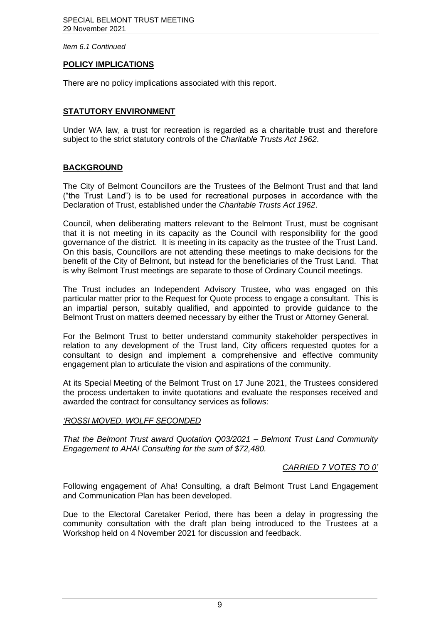#### **POLICY IMPLICATIONS**

There are no policy implications associated with this report.

#### **STATUTORY ENVIRONMENT**

Under WA law, a trust for recreation is regarded as a charitable trust and therefore subject to the strict statutory controls of the *Charitable Trusts Act 1962*.

#### **BACKGROUND**

The City of Belmont Councillors are the Trustees of the Belmont Trust and that land ("the Trust Land") is to be used for recreational purposes in accordance with the Declaration of Trust, established under the *Charitable Trusts Act 1962*.

Council, when deliberating matters relevant to the Belmont Trust, must be cognisant that it is not meeting in its capacity as the Council with responsibility for the good governance of the district. It is meeting in its capacity as the trustee of the Trust Land. On this basis, Councillors are not attending these meetings to make decisions for the benefit of the City of Belmont, but instead for the beneficiaries of the Trust Land. That is why Belmont Trust meetings are separate to those of Ordinary Council meetings.

The Trust includes an Independent Advisory Trustee, who was engaged on this particular matter prior to the Request for Quote process to engage a consultant. This is an impartial person, suitably qualified, and appointed to provide guidance to the Belmont Trust on matters deemed necessary by either the Trust or Attorney General.

For the Belmont Trust to better understand community stakeholder perspectives in relation to any development of the Trust land, City officers requested quotes for a consultant to design and implement a comprehensive and effective community engagement plan to articulate the vision and aspirations of the community.

At its Special Meeting of the Belmont Trust on 17 June 2021, the Trustees considered the process undertaken to invite quotations and evaluate the responses received and awarded the contract for consultancy services as follows:

#### *'ROSSI MOVED, WOLFF SECONDED*

*That the Belmont Trust award Quotation Q03/2021 – Belmont Trust Land Community Engagement to AHA! Consulting for the sum of \$72,480.*

#### *CARRIED 7 VOTES TO 0'*

Following engagement of Aha! Consulting, a draft Belmont Trust Land Engagement and Communication Plan has been developed.

Due to the Electoral Caretaker Period, there has been a delay in progressing the community consultation with the draft plan being introduced to the Trustees at a Workshop held on 4 November 2021 for discussion and feedback.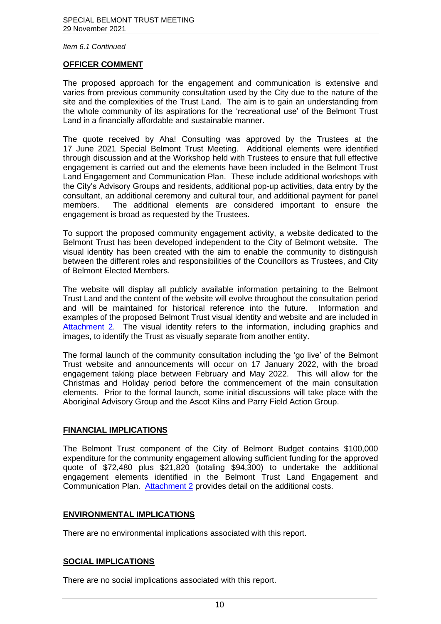#### **OFFICER COMMENT**

The proposed approach for the engagement and communication is extensive and varies from previous community consultation used by the City due to the nature of the site and the complexities of the Trust Land. The aim is to gain an understanding from the whole community of its aspirations for the 'recreational use' of the Belmont Trust Land in a financially affordable and sustainable manner.

The quote received by Aha! Consulting was approved by the Trustees at the 17 June 2021 Special Belmont Trust Meeting. Additional elements were identified [through discus](https://www.belmont.wa.gov.au/docs/ecm/Belmont%20Trust%2029%20November%202021%20Attachment%202)sion and at the Workshop held with Trustees to ensure that full effective engagement is carried out and the elements have been included in the Belmont Trust Land Engagement and Communication Plan. These include additional workshops with the City's Advisory Groups and residents, additional pop-up activities, data entry by the consultant, an additional ceremony and cultural tour, and additional payment for panel members. The additional elements are considered important to ensure the engagement is broad as requested by the Trustees.

To support the proposed community engagement activity, a website dedicated to the Belmont Trust has been developed independent to the City of Belmont website. The visual identity has been created with the aim to enable the community to distinguish between the different roles and responsibilities of the Councillors as Trustees, and City of Belmont Elected Members.

The website will display all publicly available information pertaining to the Belmont Trust Land and the content of the website will evolve throughout the consultation period and will be maintained for historical reference into the future. Information and examples of the prop[osed Belmont T](https://www.belmont.wa.gov.au/docs/ecm/Belmont%20Trust%2029%20November%202021%20Attachment%202)rust visual identity and website and are included in Attachment 2. The visual identity refers to the information, including graphics and images, to identify the Trust as visually separate from another entity.

The formal launch of the community consultation including the 'go live' of the Belmont Trust website and announcements will occur on 17 January 2022, with the broad engagement taking place between February and May 2022. This will allow for the Christmas and Holiday period before the commencement of the main consultation elements. Prior to the formal launch, some initial discussions will take place with the Aboriginal Advisory Group and the Ascot Kilns and Parry Field Action Group.

#### **FINANCIAL IMPLICATIONS**

The Belmont Trust component of the City of Belmont Budget contains \$100,000 expenditure for the community engagement allowing sufficient funding for the approved quote of \$72,480 plus \$21,820 (totaling \$94,300) to undertake the additional engagement elements identified in the Belmont Trust Land Engagement and Communication Plan. Attachment 2 provides detail [on the additiona](https://www.belmont.wa.gov.au/docs/ecm/Belmont%20Trust%2029%20November%202021%20Attachment%201)l costs.

#### **ENVIRONMENTAL IMPLICATIONS**

There [are no environm](https://www.belmont.wa.gov.au/docs/ecm/Belmont%20Trust%2029%20November%202021%20Attachment%202)ental implications associated with this report.

#### **SOCIAL IMPLICATIONS**

There are no social implications associated with this report.